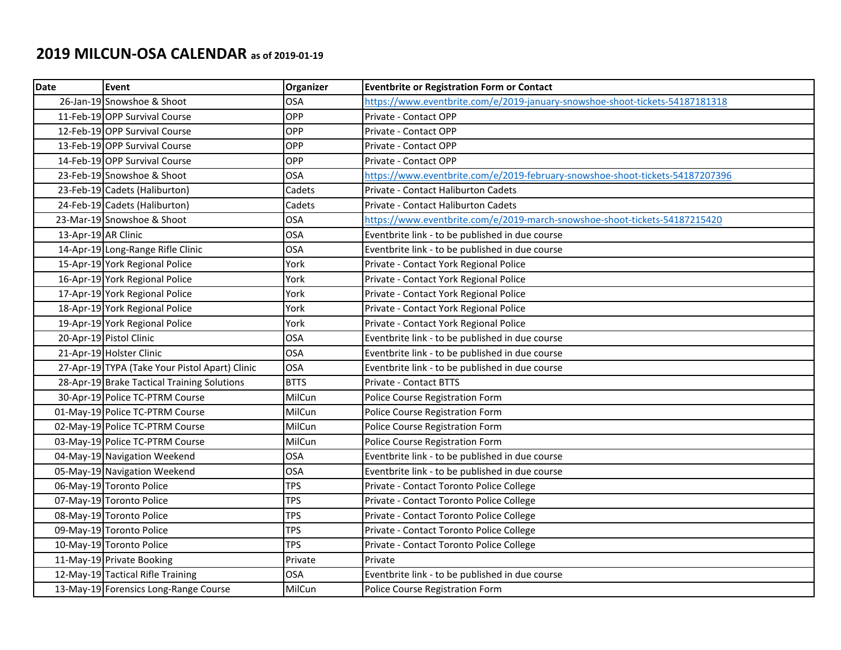## **2019 MILCUN-OSA CALENDAR as of 2019-01-19**

| Date                | <b>Event</b>                                   | Organizer   | <b>Eventbrite or Registration Form or Contact</b>                             |
|---------------------|------------------------------------------------|-------------|-------------------------------------------------------------------------------|
|                     | 26-Jan-19 Snowshoe & Shoot                     | <b>OSA</b>  | https://www.eventbrite.com/e/2019-january-snowshoe-shoot-tickets-54187181318  |
|                     | 11-Feb-19 OPP Survival Course                  | OPP         | Private - Contact OPP                                                         |
|                     | 12-Feb-19 OPP Survival Course                  | OPP         | Private - Contact OPP                                                         |
|                     | 13-Feb-19 OPP Survival Course                  | OPP         | Private - Contact OPP                                                         |
|                     | 14-Feb-19 OPP Survival Course                  | OPP         | Private - Contact OPP                                                         |
|                     | 23-Feb-19 Snowshoe & Shoot                     | <b>OSA</b>  | https://www.eventbrite.com/e/2019-february-snowshoe-shoot-tickets-54187207396 |
|                     | 23-Feb-19 Cadets (Haliburton)                  | Cadets      | Private - Contact Haliburton Cadets                                           |
|                     | 24-Feb-19 Cadets (Haliburton)                  | Cadets      | Private - Contact Haliburton Cadets                                           |
|                     | 23-Mar-19 Snowshoe & Shoot                     | <b>OSA</b>  | https://www.eventbrite.com/e/2019-march-snowshoe-shoot-tickets-54187215420    |
| 13-Apr-19 AR Clinic |                                                | <b>OSA</b>  | Eventbrite link - to be published in due course                               |
|                     | 14-Apr-19 Long-Range Rifle Clinic              | <b>OSA</b>  | Eventbrite link - to be published in due course                               |
|                     | 15-Apr-19 York Regional Police                 | York        | Private - Contact York Regional Police                                        |
|                     | 16-Apr-19 York Regional Police                 | York        | Private - Contact York Regional Police                                        |
|                     | 17-Apr-19 York Regional Police                 | York        | Private - Contact York Regional Police                                        |
|                     | 18-Apr-19 York Regional Police                 | York        | Private - Contact York Regional Police                                        |
|                     | 19-Apr-19 York Regional Police                 | York        | Private - Contact York Regional Police                                        |
|                     | 20-Apr-19 Pistol Clinic                        | <b>OSA</b>  | Eventbrite link - to be published in due course                               |
|                     | 21-Apr-19 Holster Clinic                       | <b>OSA</b>  | Eventbrite link - to be published in due course                               |
|                     | 27-Apr-19 TYPA (Take Your Pistol Apart) Clinic | <b>OSA</b>  | Eventbrite link - to be published in due course                               |
|                     | 28-Apr-19 Brake Tactical Training Solutions    | <b>BTTS</b> | <b>Private - Contact BTTS</b>                                                 |
|                     | 30-Apr-19 Police TC-PTRM Course                | MilCun      | Police Course Registration Form                                               |
|                     | 01-May-19 Police TC-PTRM Course                | MilCun      | Police Course Registration Form                                               |
|                     | 02-May-19 Police TC-PTRM Course                | MilCun      | Police Course Registration Form                                               |
|                     | 03-May-19 Police TC-PTRM Course                | MilCun      | Police Course Registration Form                                               |
|                     | 04-May-19 Navigation Weekend                   | <b>OSA</b>  | Eventbrite link - to be published in due course                               |
|                     | 05-May-19 Navigation Weekend                   | <b>OSA</b>  | Eventbrite link - to be published in due course                               |
|                     | 06-May-19 Toronto Police                       | <b>TPS</b>  | Private - Contact Toronto Police College                                      |
|                     | 07-May-19 Toronto Police                       | <b>TPS</b>  | Private - Contact Toronto Police College                                      |
|                     | 08-May-19 Toronto Police                       | <b>TPS</b>  | Private - Contact Toronto Police College                                      |
|                     | 09-May-19 Toronto Police                       | <b>TPS</b>  | Private - Contact Toronto Police College                                      |
|                     | 10-May-19 Toronto Police                       | <b>TPS</b>  | Private - Contact Toronto Police College                                      |
|                     | 11-May-19 Private Booking                      | Private     | Private                                                                       |
|                     | 12-May-19 Tactical Rifle Training              | <b>OSA</b>  | Eventbrite link - to be published in due course                               |
|                     | 13-May-19 Forensics Long-Range Course          | MilCun      | Police Course Registration Form                                               |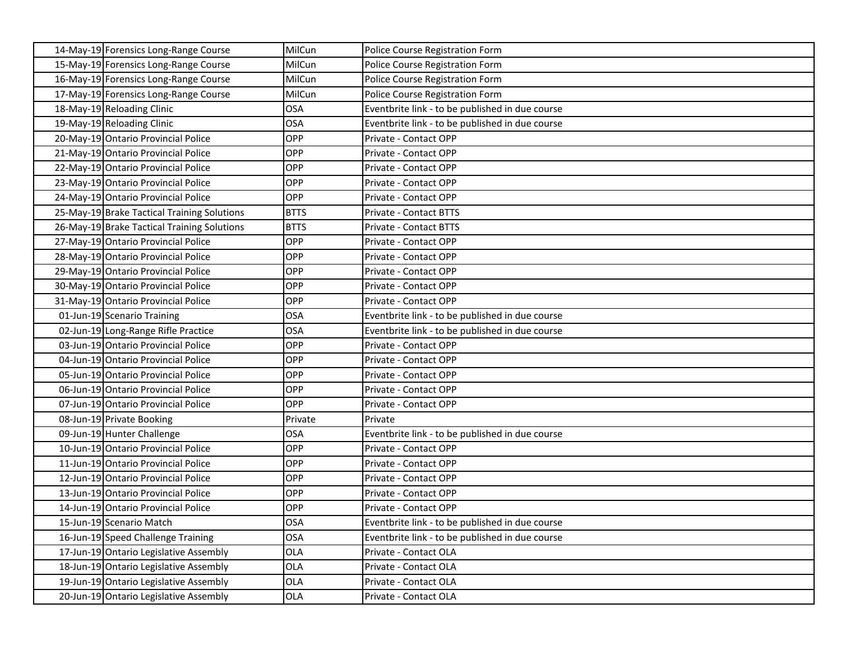| 14-May-19 Forensics Long-Range Course       | MilCun      | Police Course Registration Form                 |
|---------------------------------------------|-------------|-------------------------------------------------|
| 15-May-19 Forensics Long-Range Course       | MilCun      | Police Course Registration Form                 |
| 16-May-19 Forensics Long-Range Course       | MilCun      | Police Course Registration Form                 |
| 17-May-19 Forensics Long-Range Course       | MilCun      | Police Course Registration Form                 |
| 18-May-19 Reloading Clinic                  | <b>OSA</b>  | Eventbrite link - to be published in due course |
| 19-May-19 Reloading Clinic                  | <b>OSA</b>  | Eventbrite link - to be published in due course |
| 20-May-19 Ontario Provincial Police         | OPP         | Private - Contact OPP                           |
| 21-May-19 Ontario Provincial Police         | OPP         | Private - Contact OPP                           |
| 22-May-19 Ontario Provincial Police         | OPP         | Private - Contact OPP                           |
| 23-May-19 Ontario Provincial Police         | OPP         | Private - Contact OPP                           |
| 24-May-19 Ontario Provincial Police         | OPP         | Private - Contact OPP                           |
| 25-May-19 Brake Tactical Training Solutions | <b>BTTS</b> | Private - Contact BTTS                          |
| 26-May-19 Brake Tactical Training Solutions | <b>BTTS</b> | Private - Contact BTTS                          |
| 27-May-19 Ontario Provincial Police         | OPP         | Private - Contact OPP                           |
| 28-May-19 Ontario Provincial Police         | OPP         | Private - Contact OPP                           |
| 29-May-19 Ontario Provincial Police         | OPP         | Private - Contact OPP                           |
| 30-May-19 Ontario Provincial Police         | OPP         | Private - Contact OPP                           |
| 31-May-19 Ontario Provincial Police         | OPP         | Private - Contact OPP                           |
| 01-Jun-19 Scenario Training                 | <b>OSA</b>  | Eventbrite link - to be published in due course |
| 02-Jun-19 Long-Range Rifle Practice         | <b>OSA</b>  | Eventbrite link - to be published in due course |
| 03-Jun-19 Ontario Provincial Police         | OPP         | Private - Contact OPP                           |
| 04-Jun-19 Ontario Provincial Police         | OPP         | Private - Contact OPP                           |
| 05-Jun-19 Ontario Provincial Police         | <b>OPP</b>  | Private - Contact OPP                           |
| 06-Jun-19 Ontario Provincial Police         | OPP         | Private - Contact OPP                           |
| 07-Jun-19 Ontario Provincial Police         | OPP         | Private - Contact OPP                           |
| 08-Jun-19 Private Booking                   | Private     | Private                                         |
| 09-Jun-19 Hunter Challenge                  | <b>OSA</b>  | Eventbrite link - to be published in due course |
| 10-Jun-19 Ontario Provincial Police         | OPP         | Private - Contact OPP                           |
| 11-Jun-19 Ontario Provincial Police         | OPP         | Private - Contact OPP                           |
| 12-Jun-19 Ontario Provincial Police         | OPP         | Private - Contact OPP                           |
| 13-Jun-19 Ontario Provincial Police         | OPP         | Private - Contact OPP                           |
| 14-Jun-19 Ontario Provincial Police         | OPP         | Private - Contact OPP                           |
| 15-Jun-19 Scenario Match                    | OSA         | Eventbrite link - to be published in due course |
| 16-Jun-19 Speed Challenge Training          | <b>OSA</b>  | Eventbrite link - to be published in due course |
| 17-Jun-19 Ontario Legislative Assembly      | OLA         | Private - Contact OLA                           |
| 18-Jun-19 Ontario Legislative Assembly      | OLA         | Private - Contact OLA                           |
| 19-Jun-19 Ontario Legislative Assembly      | OLA         | Private - Contact OLA                           |
| 20-Jun-19 Ontario Legislative Assembly      | OLA         | Private - Contact OLA                           |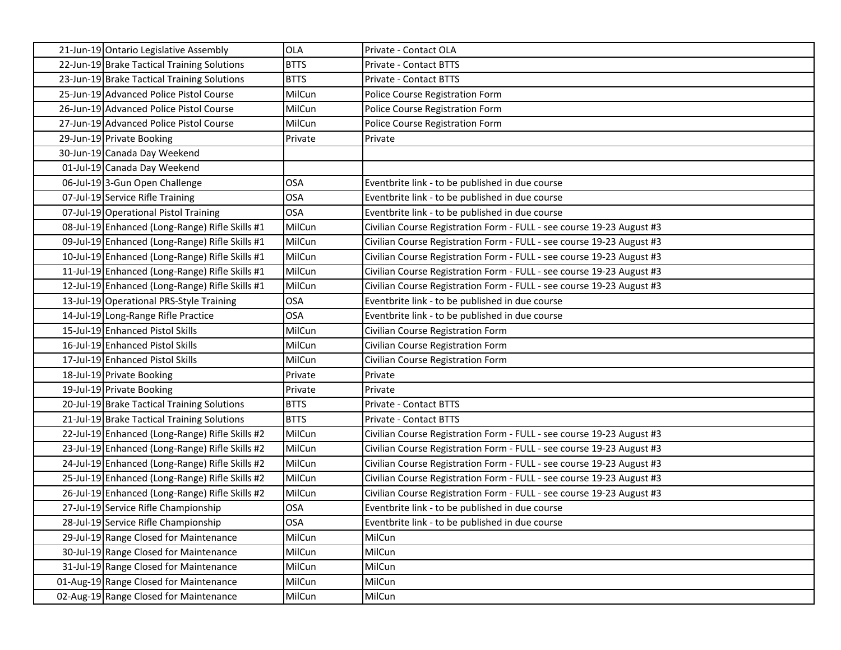| 21-Jun-19 Ontario Legislative Assembly          | <b>OLA</b>  | Private - Contact OLA                                                 |
|-------------------------------------------------|-------------|-----------------------------------------------------------------------|
| 22-Jun-19 Brake Tactical Training Solutions     | <b>BTTS</b> | Private - Contact BTTS                                                |
| 23-Jun-19 Brake Tactical Training Solutions     | <b>BTTS</b> | Private - Contact BTTS                                                |
| 25-Jun-19 Advanced Police Pistol Course         | MilCun      | Police Course Registration Form                                       |
| 26-Jun-19 Advanced Police Pistol Course         | MilCun      | Police Course Registration Form                                       |
| 27-Jun-19 Advanced Police Pistol Course         | MilCun      | Police Course Registration Form                                       |
| 29-Jun-19 Private Booking                       | Private     | Private                                                               |
| 30-Jun-19 Canada Day Weekend                    |             |                                                                       |
| 01-Jul-19 Canada Day Weekend                    |             |                                                                       |
| 06-Jul-19 3-Gun Open Challenge                  | <b>OSA</b>  | Eventbrite link - to be published in due course                       |
| 07-Jul-19 Service Rifle Training                | <b>OSA</b>  | Eventbrite link - to be published in due course                       |
| 07-Jul-19 Operational Pistol Training           | <b>OSA</b>  | Eventbrite link - to be published in due course                       |
| 08-Jul-19 Enhanced (Long-Range) Rifle Skills #1 | MilCun      | Civilian Course Registration Form - FULL - see course 19-23 August #3 |
| 09-Jul-19 Enhanced (Long-Range) Rifle Skills #1 | MilCun      | Civilian Course Registration Form - FULL - see course 19-23 August #3 |
| 10-Jul-19 Enhanced (Long-Range) Rifle Skills #1 | MilCun      | Civilian Course Registration Form - FULL - see course 19-23 August #3 |
| 11-Jul-19 Enhanced (Long-Range) Rifle Skills #1 | MilCun      | Civilian Course Registration Form - FULL - see course 19-23 August #3 |
| 12-Jul-19 Enhanced (Long-Range) Rifle Skills #1 | MilCun      | Civilian Course Registration Form - FULL - see course 19-23 August #3 |
| 13-Jul-19 Operational PRS-Style Training        | <b>OSA</b>  | Eventbrite link - to be published in due course                       |
| 14-Jul-19 Long-Range Rifle Practice             | <b>OSA</b>  | Eventbrite link - to be published in due course                       |
| 15-Jul-19 Enhanced Pistol Skills                | MilCun      | Civilian Course Registration Form                                     |
| 16-Jul-19 Enhanced Pistol Skills                | MilCun      | Civilian Course Registration Form                                     |
| 17-Jul-19 Enhanced Pistol Skills                | MilCun      | Civilian Course Registration Form                                     |
| 18-Jul-19 Private Booking                       | Private     | Private                                                               |
| 19-Jul-19 Private Booking                       | Private     | Private                                                               |
| 20-Jul-19 Brake Tactical Training Solutions     | <b>BTTS</b> | <b>Private - Contact BTTS</b>                                         |
| 21-Jul-19 Brake Tactical Training Solutions     | <b>BTTS</b> | <b>Private - Contact BTTS</b>                                         |
| 22-Jul-19 Enhanced (Long-Range) Rifle Skills #2 | MilCun      | Civilian Course Registration Form - FULL - see course 19-23 August #3 |
| 23-Jul-19 Enhanced (Long-Range) Rifle Skills #2 | MilCun      | Civilian Course Registration Form - FULL - see course 19-23 August #3 |
| 24-Jul-19 Enhanced (Long-Range) Rifle Skills #2 | MilCun      | Civilian Course Registration Form - FULL - see course 19-23 August #3 |
| 25-Jul-19 Enhanced (Long-Range) Rifle Skills #2 | MilCun      | Civilian Course Registration Form - FULL - see course 19-23 August #3 |
| 26-Jul-19 Enhanced (Long-Range) Rifle Skills #2 | MilCun      | Civilian Course Registration Form - FULL - see course 19-23 August #3 |
| 27-Jul-19 Service Rifle Championship            | <b>OSA</b>  | Eventbrite link - to be published in due course                       |
| 28-Jul-19 Service Rifle Championship            | <b>OSA</b>  | Eventbrite link - to be published in due course                       |
| 29-Jul-19 Range Closed for Maintenance          | MilCun      | MilCun                                                                |
| 30-Jul-19 Range Closed for Maintenance          | MilCun      | MilCun                                                                |
| 31-Jul-19 Range Closed for Maintenance          | MilCun      | MilCun                                                                |
| 01-Aug-19 Range Closed for Maintenance          | MilCun      | MilCun                                                                |
| 02-Aug-19 Range Closed for Maintenance          | MilCun      | MilCun                                                                |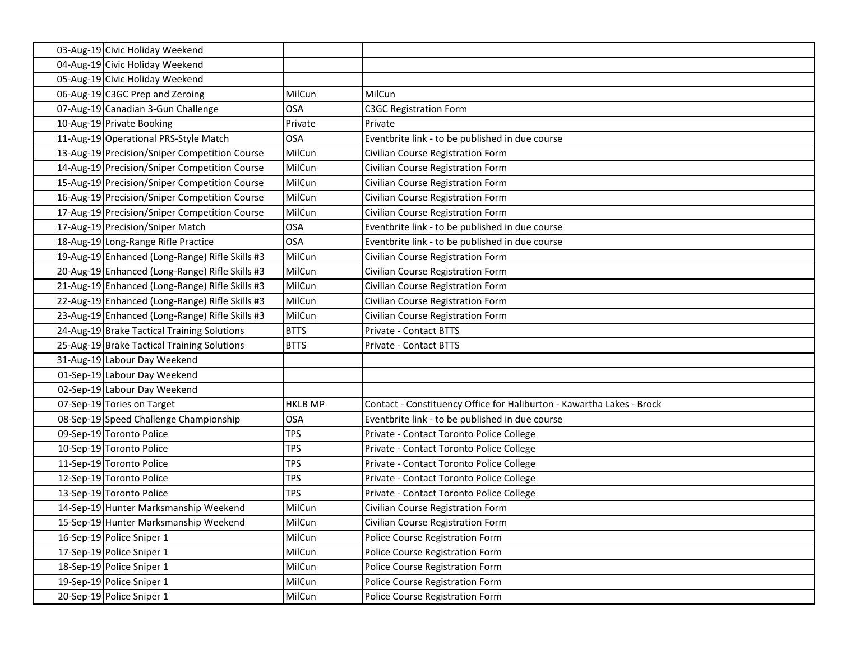| 03-Aug-19 Civic Holiday Weekend                        |                |                                                                       |
|--------------------------------------------------------|----------------|-----------------------------------------------------------------------|
| 04-Aug-19 Civic Holiday Weekend                        |                |                                                                       |
| 05-Aug-19 Civic Holiday Weekend                        |                |                                                                       |
| 06-Aug-19 C3GC Prep and Zeroing                        | MilCun         | MilCun                                                                |
| 07-Aug-19 Canadian 3-Gun Challenge                     | <b>OSA</b>     | <b>C3GC Registration Form</b>                                         |
| 10-Aug-19 Private Booking                              | Private        | Private                                                               |
| 11-Aug-19 Operational PRS-Style Match                  | <b>OSA</b>     | Eventbrite link - to be published in due course                       |
| 13-Aug-19 Precision/Sniper Competition Course          | MilCun         | Civilian Course Registration Form                                     |
| 14-Aug-19 Precision/Sniper Competition Course          | MilCun         | Civilian Course Registration Form                                     |
| 15-Aug-19 Precision/Sniper Competition Course          | MilCun         | Civilian Course Registration Form                                     |
| 16-Aug-19 Precision/Sniper Competition Course          | MilCun         | Civilian Course Registration Form                                     |
| 17-Aug-19 Precision/Sniper Competition Course          | MilCun         | Civilian Course Registration Form                                     |
| 17-Aug-19 Precision/Sniper Match                       | <b>OSA</b>     | Eventbrite link - to be published in due course                       |
| 18-Aug-19 Long-Range Rifle Practice                    | <b>OSA</b>     | Eventbrite link - to be published in due course                       |
| 19-Aug-19 Enhanced (Long-Range) Rifle Skills #3        | MilCun         | Civilian Course Registration Form                                     |
| 20-Aug-19 Enhanced (Long-Range) Rifle Skills #3        | MilCun         | Civilian Course Registration Form                                     |
| 21-Aug-19 Enhanced (Long-Range) Rifle Skills #3        | MilCun         | Civilian Course Registration Form                                     |
| 22-Aug-19 Enhanced (Long-Range) Rifle Skills #3        | MilCun         | Civilian Course Registration Form                                     |
| 23-Aug-19 Enhanced (Long-Range) Rifle Skills #3        | MilCun         | Civilian Course Registration Form                                     |
|                                                        |                |                                                                       |
| 24-Aug-19 Brake Tactical Training Solutions            | <b>BTTS</b>    | Private - Contact BTTS                                                |
| 25-Aug-19 Brake Tactical Training Solutions            | <b>BTTS</b>    | Private - Contact BTTS                                                |
| 31-Aug-19 Labour Day Weekend                           |                |                                                                       |
| 01-Sep-19 Labour Day Weekend                           |                |                                                                       |
| 02-Sep-19 Labour Day Weekend                           |                |                                                                       |
| 07-Sep-19 Tories on Target                             | <b>HKLB MP</b> | Contact - Constituency Office for Haliburton - Kawartha Lakes - Brock |
| 08-Sep-19 Speed Challenge Championship                 | <b>OSA</b>     | Eventbrite link - to be published in due course                       |
| 09-Sep-19 Toronto Police                               | <b>TPS</b>     | Private - Contact Toronto Police College                              |
| 10-Sep-19 Toronto Police                               | <b>TPS</b>     | Private - Contact Toronto Police College                              |
| 11-Sep-19 Toronto Police                               | <b>TPS</b>     | Private - Contact Toronto Police College                              |
| 12-Sep-19 Toronto Police                               | <b>TPS</b>     | Private - Contact Toronto Police College                              |
| 13-Sep-19 Toronto Police                               | <b>TPS</b>     | Private - Contact Toronto Police College                              |
| 14-Sep-19 Hunter Marksmanship Weekend                  | MilCun         | Civilian Course Registration Form                                     |
| 15-Sep-19 Hunter Marksmanship Weekend                  | MilCun         | Civilian Course Registration Form                                     |
| 16-Sep-19 Police Sniper 1                              | MilCun         | Police Course Registration Form                                       |
| 17-Sep-19 Police Sniper 1                              | MilCun         | Police Course Registration Form                                       |
| 18-Sep-19 Police Sniper 1                              | MilCun         | <b>Police Course Registration Form</b>                                |
| 19-Sep-19 Police Sniper 1<br>20-Sep-19 Police Sniper 1 | MilCun         | Police Course Registration Form                                       |